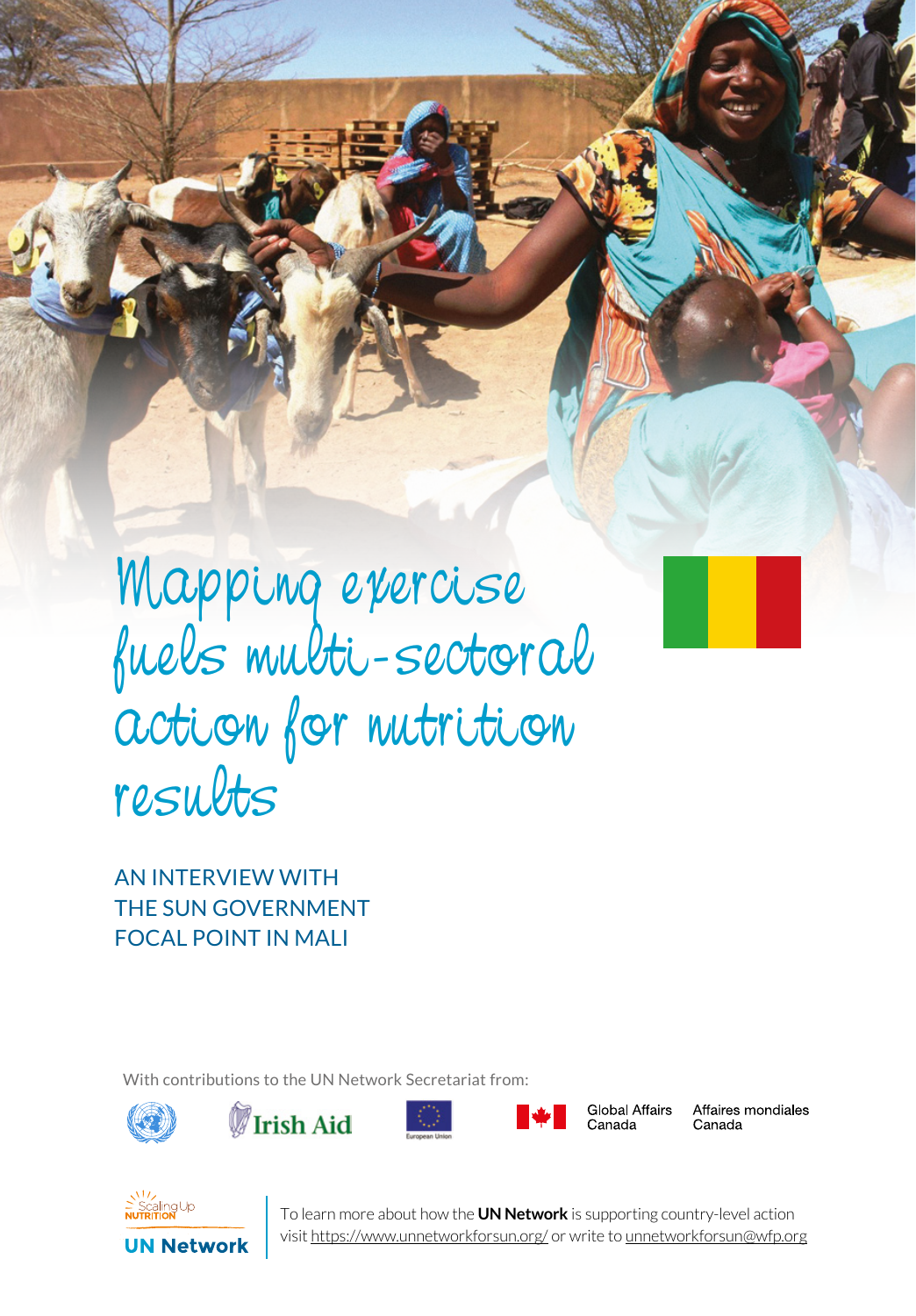Mapping exercise fuels multi-sectoral action for nutrition results

SERIES 1 UN NEWSTAND TO A LAND CAN

AN INTERVIEW WITH THE SUN GOVERNMENT FOCAL POINT IN MALI

With contributions to the UN Network Secretariat from:









**Global Affairs** Canada

Affaires mondiales Canada



**1** To learn more about how the **UN Network** is supporting country-level action visit https://www.unnetworkforsun.org/ or write to unnetworkforsun@wfp.org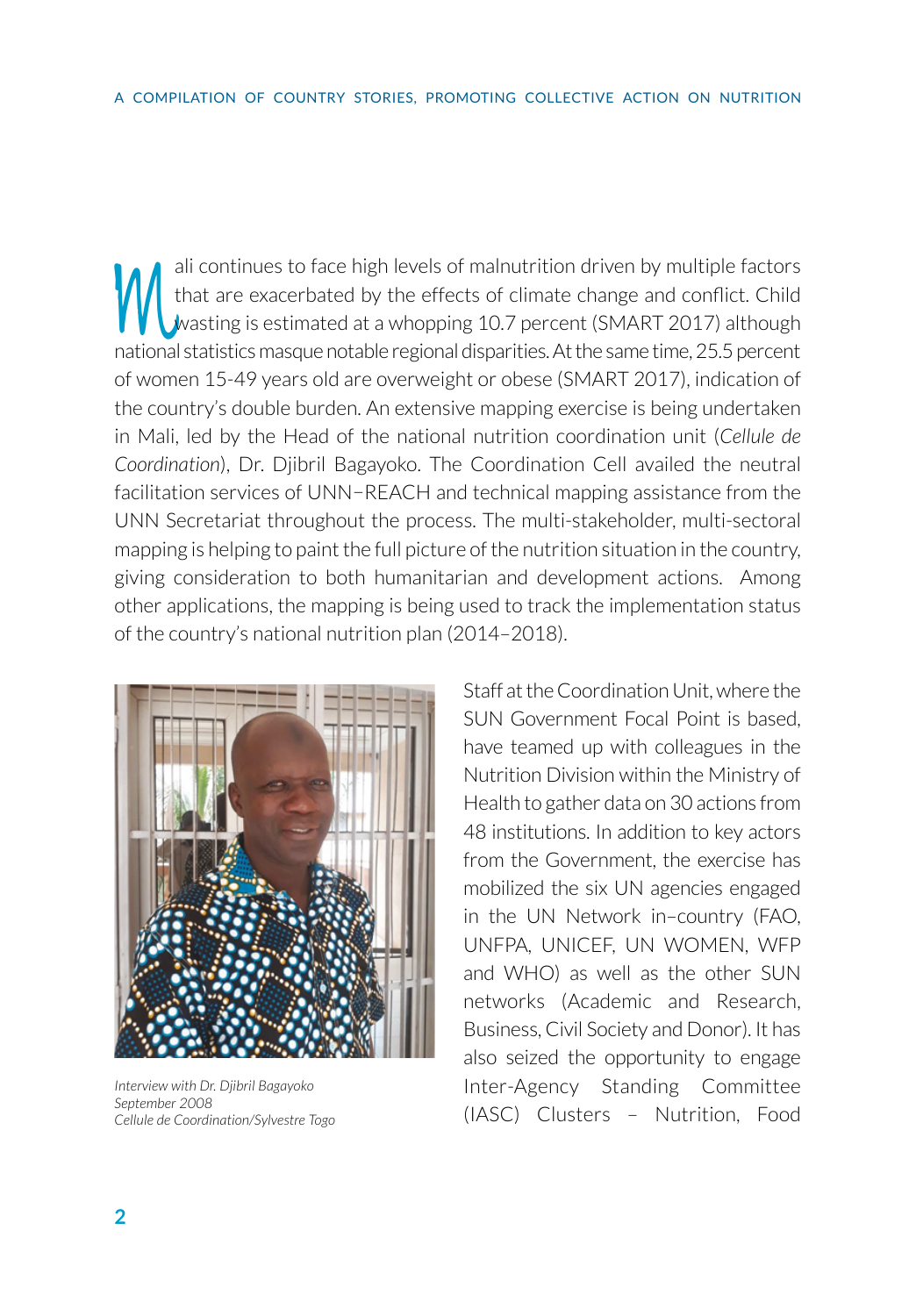ali continues to face high levels of malnutrition driven by multiple factors<br>that are exacerbated by the effects of climate change and conflict. Child<br>wasting is estimated at a whopping 10.7 percent (SMART 2017) although<br>p that are exacerbated by the effects of climate change and conflict. Child wasting is estimated at a whopping 10.7 percent (SMART 2017) although national statistics masque notable regional disparities. At the same time, 25.5 percent of women 15-49 years old are overweight or obese (SMART 2017), indication of the country's double burden. An extensive mapping exercise is being undertaken in Mali, led by the Head of the national nutrition coordination unit (*Cellule de Coordination*), Dr. Djibril Bagayoko. The Coordination Cell availed the neutral facilitation services of UNN−REACH and technical mapping assistance from the UNN Secretariat throughout the process. The multi-stakeholder, multi-sectoral mapping is helping to paint the full picture of the nutrition situation in the country, giving consideration to both humanitarian and development actions. Among other applications, the mapping is being used to track the implementation status of the country's national nutrition plan (2014–2018).



*Interview with Dr. Djibril Bagayoko September 2008 Cellule de Coordination/Sylvestre Togo*

Staff at the Coordination Unit, where the SUN Government Focal Point is based, have teamed up with colleagues in the Nutrition Division within the Ministry of Health to gather data on 30 actions from 48 institutions. In addition to key actors from the Government, the exercise has mobilized the six UN agencies engaged in the UN Network in–country (FAO, UNFPA, UNICEF, UN WOMEN, WFP and WHO) as well as the other SUN networks (Academic and Research, Business, Civil Society and Donor). It has also seized the opportunity to engage Inter-Agency Standing Committee (IASC) Clusters – Nutrition, Food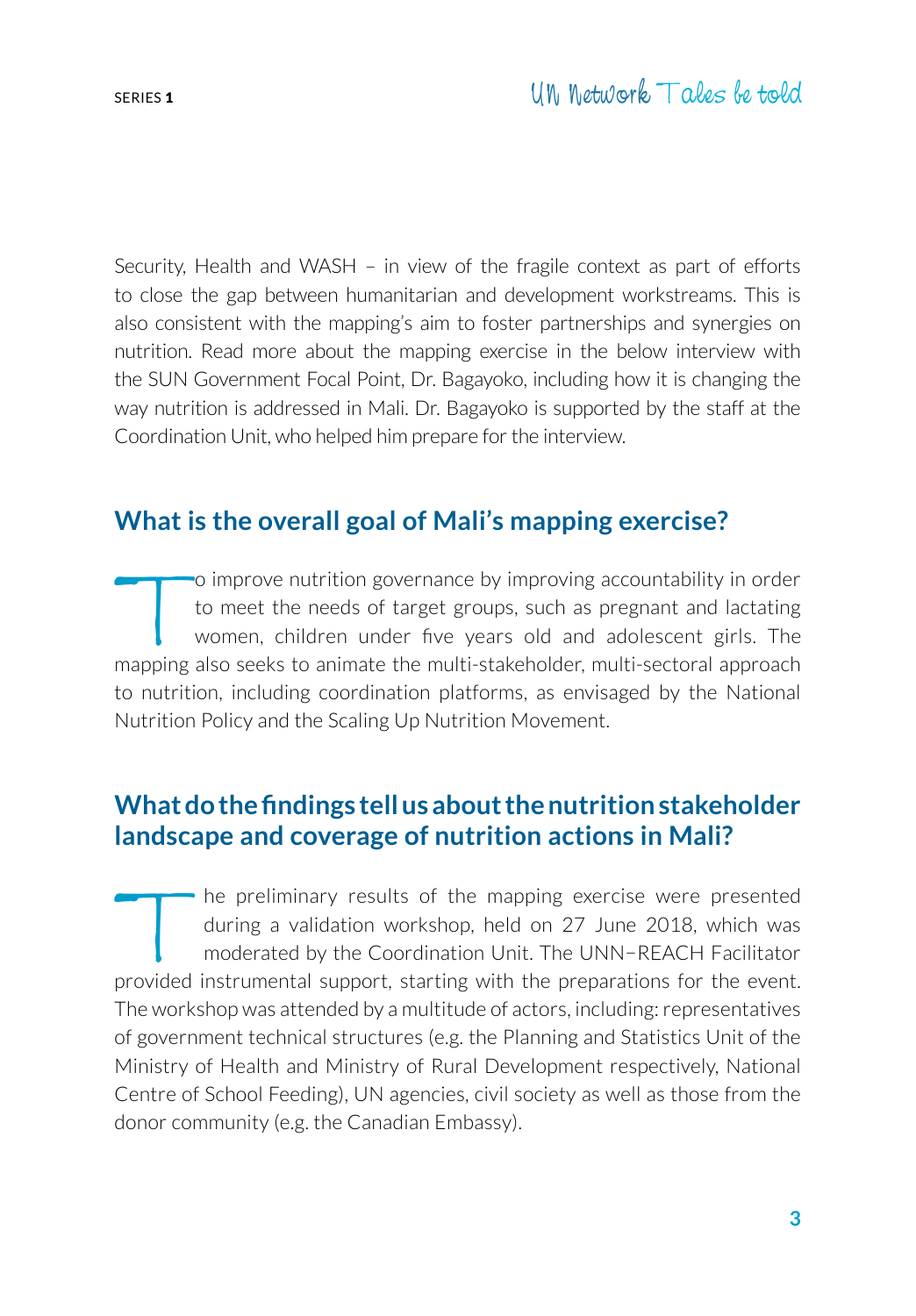Security, Health and WASH – in view of the fragile context as part of efforts to close the gap between humanitarian and development workstreams. This is also consistent with the mapping's aim to foster partnerships and synergies on nutrition. Read more about the mapping exercise in the below interview with the SUN Government Focal Point, Dr. Bagayoko, including how it is changing the way nutrition is addressed in Mali. Dr. Bagayoko is supported by the staff at the Coordination Unit, who helped him prepare for the interview.

# **What is the overall goal of Mali's mapping exercise?**

To improve nutrition governance by improving accountability in order<br>to meet the needs of target groups, such as pregnant and lactating<br>women, children under five years old and adolescent girls. The<br>manning also seeks to a to meet the needs of target groups, such as pregnant and lactating women, children under five years old and adolescent girls. The mapping also seeks to animate the multi-stakeholder, multi-sectoral approach to nutrition, including coordination platforms, as envisaged by the National Nutrition Policy and the Scaling Up Nutrition Movement.

# **What do the findings tell us about the nutrition stakeholder landscape and coverage of nutrition actions in Mali?**

The preliminary results of the mapping exercise were presented<br>during a validation workshop, held on 27 June 2018, which was<br>moderated by the Coordination Unit. The UNN-REACH Facilitator<br>provided instrumental support start during a validation workshop, held on 27 June 2018, which was moderated by the Coordination Unit. The UNN−REACH Facilitator provided instrumental support, starting with the preparations for the event. The workshop was attended by a multitude of actors, including: representatives of government technical structures (e.g. the Planning and Statistics Unit of the Ministry of Health and Ministry of Rural Development respectively, National Centre of School Feeding), UN agencies, civil society as well as those from the donor community (e.g. the Canadian Embassy).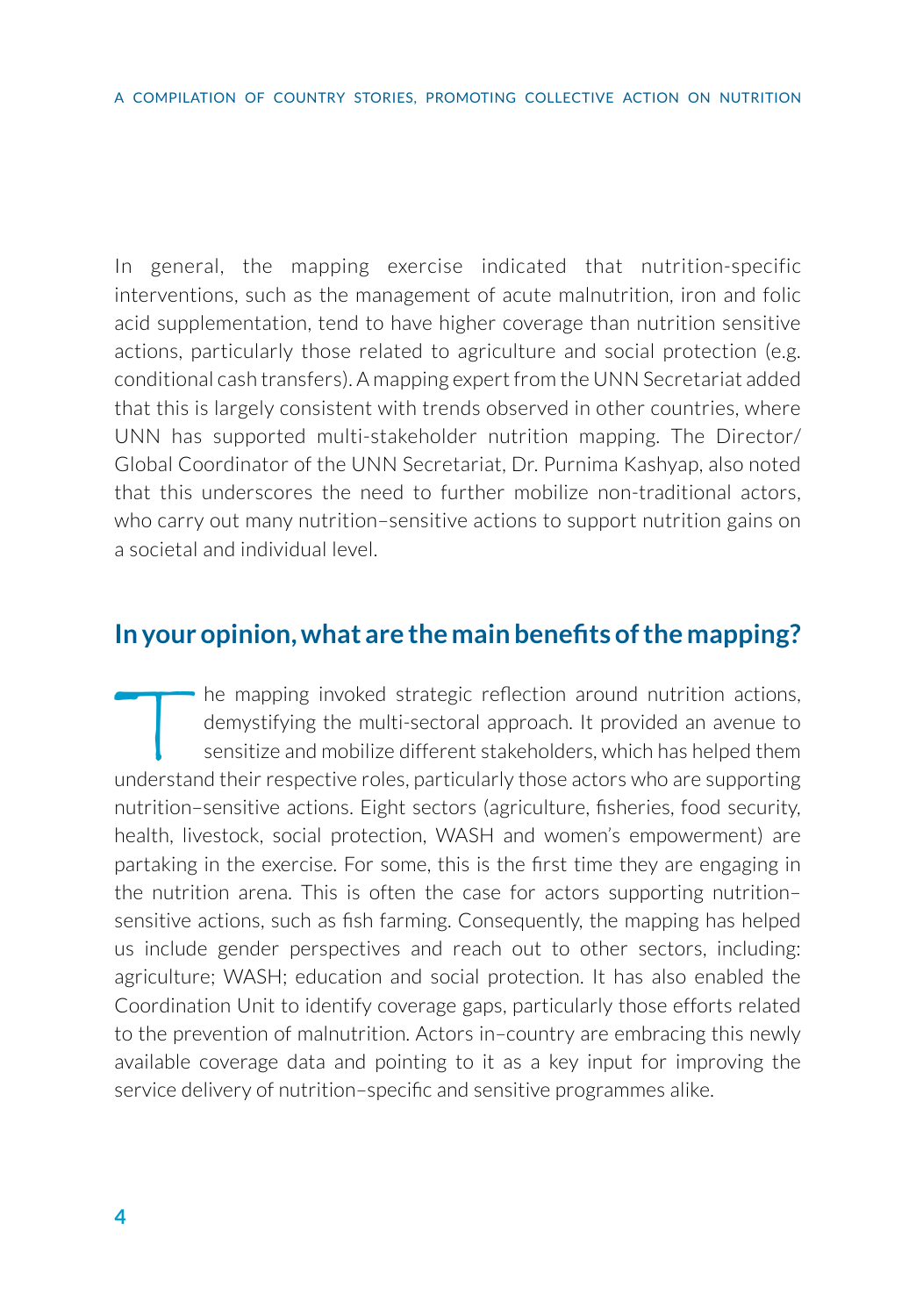In general, the mapping exercise indicated that nutrition-specific interventions, such as the management of acute malnutrition, iron and folic acid supplementation, tend to have higher coverage than nutrition sensitive actions, particularly those related to agriculture and social protection (e.g. conditional cash transfers). A mapping expert from the UNN Secretariat added that this is largely consistent with trends observed in other countries, where UNN has supported multi-stakeholder nutrition mapping. The Director/ Global Coordinator of the UNN Secretariat, Dr. Purnima Kashyap, also noted that this underscores the need to further mobilize non-traditional actors, who carry out many nutrition–sensitive actions to support nutrition gains on a societal and individual level.

#### **In your opinion, what are the main benefits of the mapping?**

The mapping invoked strategic reflection around nutrition actions,<br>demystifying the multi-sectoral approach. It provided an avenue to<br>sensitize and mobilize different stakeholders, which has helped them<br>inderstand their re demystifying the multi-sectoral approach. It provided an avenue to sensitize and mobilize different stakeholders, which has helped them understand their respective roles, particularly those actors who are supporting nutrition–sensitive actions. Eight sectors (agriculture, fisheries, food security, health, livestock, social protection, WASH and women's empowerment) are partaking in the exercise. For some, this is the first time they are engaging in the nutrition arena. This is often the case for actors supporting nutrition– sensitive actions, such as fish farming. Consequently, the mapping has helped us include gender perspectives and reach out to other sectors, including: agriculture; WASH; education and social protection. It has also enabled the Coordination Unit to identify coverage gaps, particularly those efforts related to the prevention of malnutrition. Actors in–country are embracing this newly available coverage data and pointing to it as a key input for improving the service delivery of nutrition–specific and sensitive programmes alike.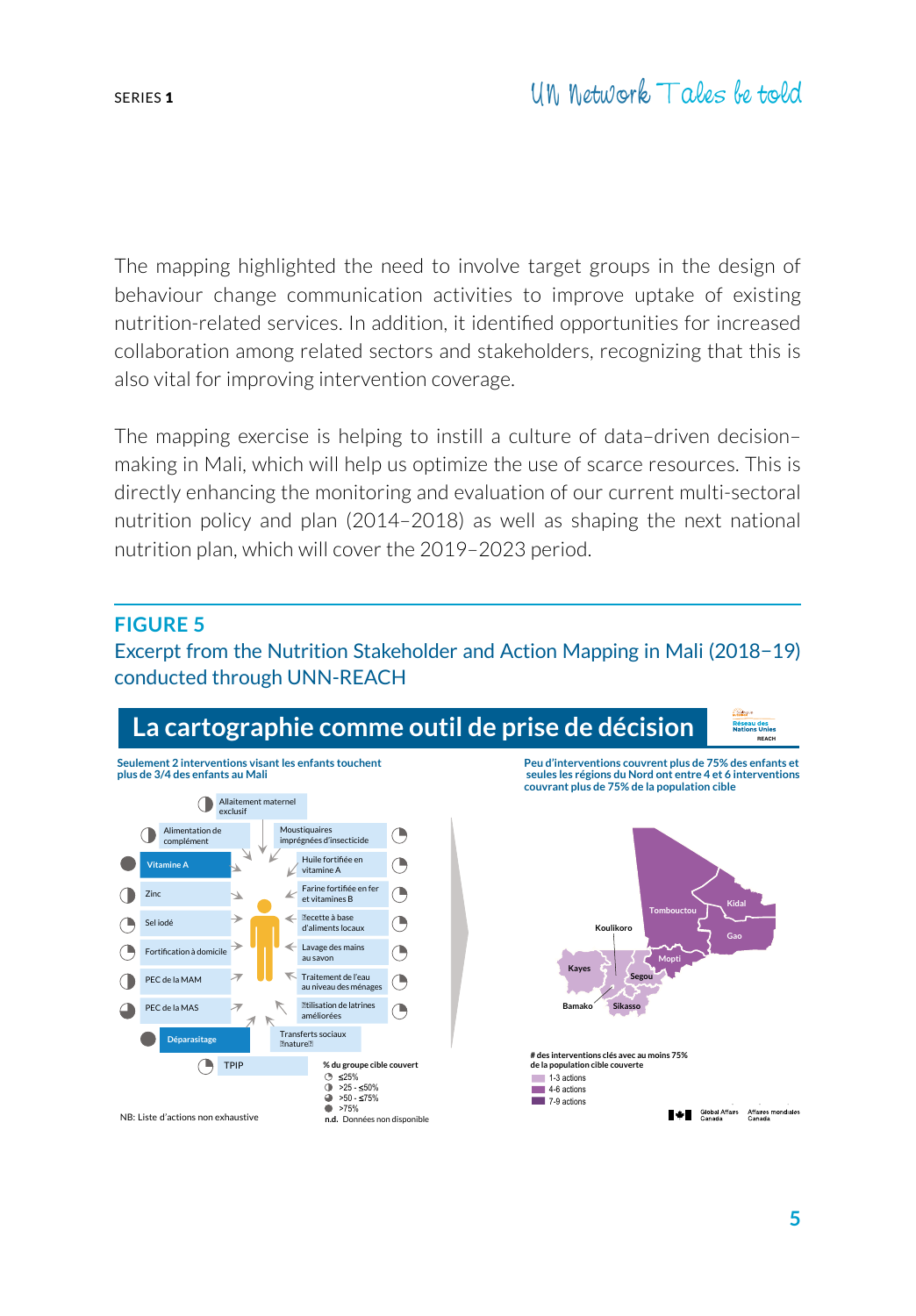The mapping highlighted the need to involve target groups in the design of behaviour change communication activities to improve uptake of existing nutrition-related services. In addition, it identified opportunities for increased collaboration among related sectors and stakeholders, recognizing that this is also vital for improving intervention coverage.

The mapping exercise is helping to instill a culture of data–driven decision– making in Mali, which will help us optimize the use of scarce resources. This is directly enhancing the monitoring and evaluation of our current multi-sectoral nutrition policy and plan (2014–2018) as well as shaping the next national nutrition plan, which will cover the 2019–2023 period.

#### **FIGURE 5**

Excerpt from the Nutrition Stakeholder and Action Mapping in Mali (2018−19) conducted through UNN-REACH

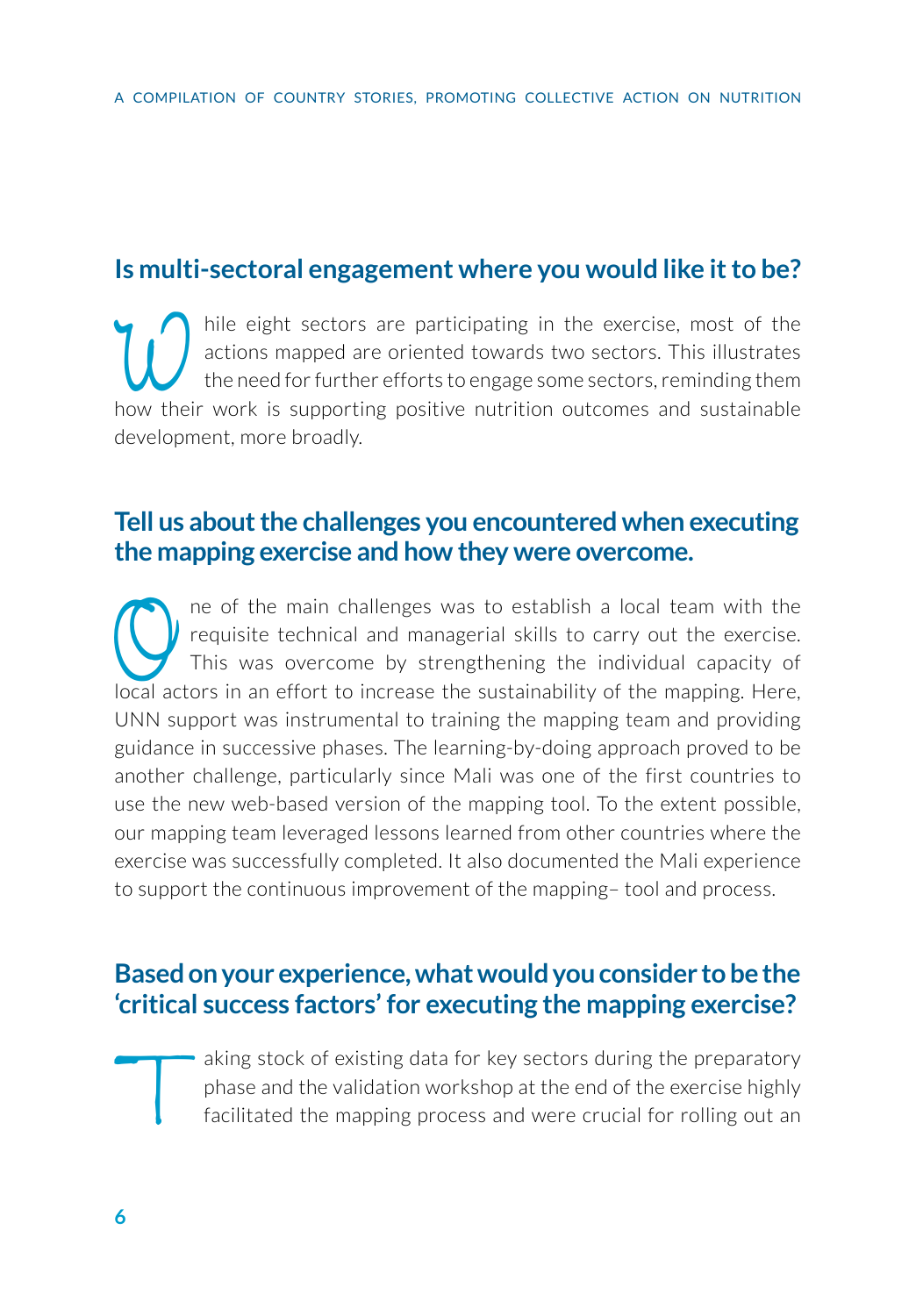## **Is multi-sectoral engagement where you would like it to be?**

hile eight sectors are participating in the exercise, most of the actions mapped are oriented towards two sectors. This illustrates the need for further efforts to engage some sectors, reminding them actions mapped are oriented towards two sectors. This illustrates the need for further efforts to engage some sectors, reminding them how their work is supporting positive nutrition outcomes and sustainable development, more broadly.

#### **Tell us about the challenges you encountered when executing the mapping exercise and how they were overcome.**

The of the main challenges was to establish a local team with the requisite technical and managerial skills to carry out the exercise.<br>This was overcome by strengthening the individual capacity of local actors in an effort requisite technical and managerial skills to carry out the exercise. This was overcome by strengthening the individual capacity of local actors in an effort to increase the sustainability of the mapping. Here, UNN support was instrumental to training the mapping team and providing guidance in successive phases. The learning-by-doing approach proved to be another challenge, particularly since Mali was one of the first countries to use the new web-based version of the mapping tool. To the extent possible, our mapping team leveraged lessons learned from other countries where the exercise was successfully completed. It also documented the Mali experience to support the continuous improvement of the mapping– tool and process.

### **Based on your experience, what would you consider to be the 'critical success factors' for executing the mapping exercise?**

aking stock of existing data for key sectors during the preparatory<br>phase and the validation workshop at the end of the exercise highly<br>facilitated the mapping process and were crucial for rolling out an phase and the validation workshop at the end of the exercise highly facilitated the mapping process and were crucial for rolling out an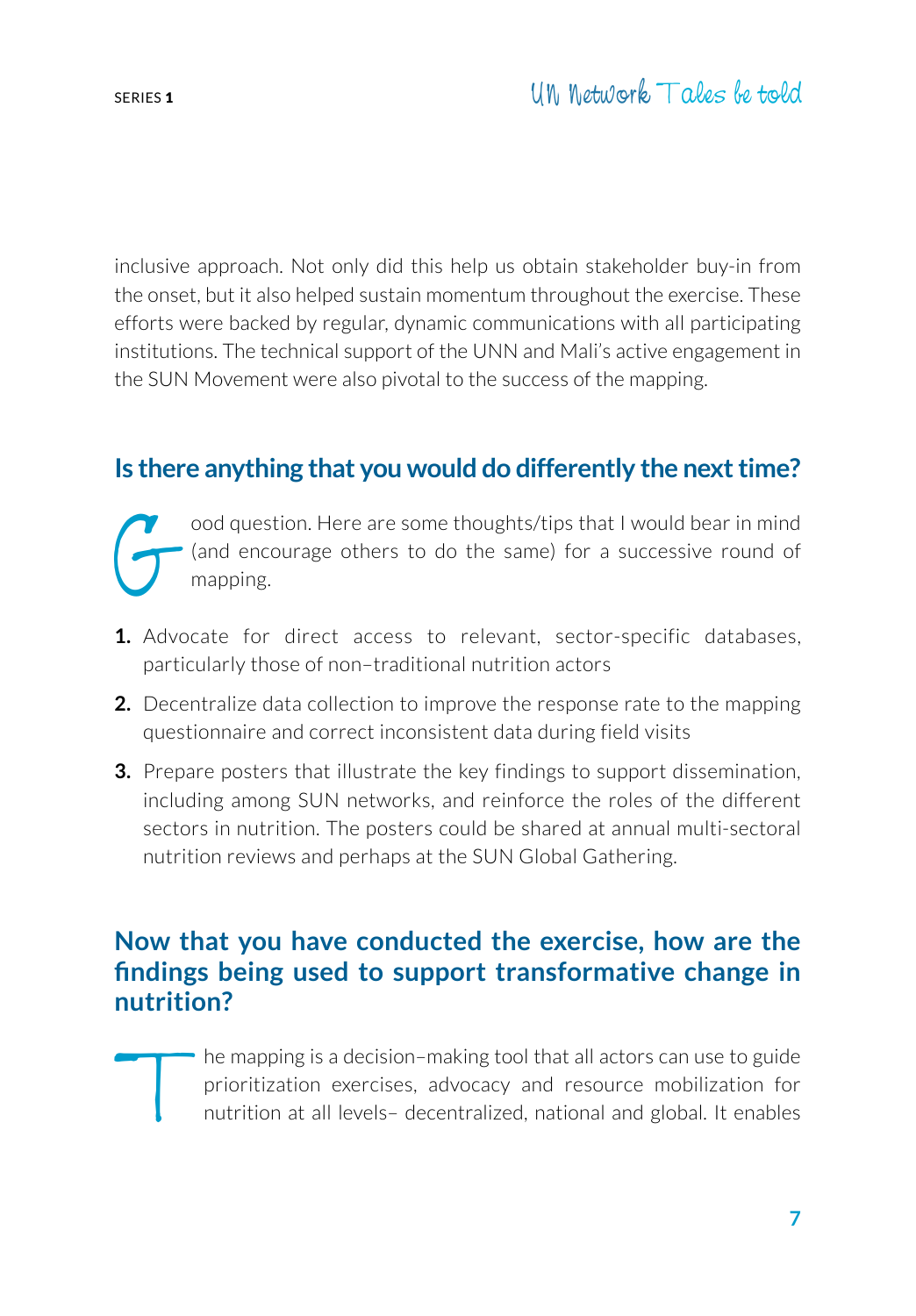inclusive approach. Not only did this help us obtain stakeholder buy-in from the onset, but it also helped sustain momentum throughout the exercise. These efforts were backed by regular, dynamic communications with all participating institutions. The technical support of the UNN and Mali's active engagement in the SUN Movement were also pivotal to the success of the mapping.

# **Is there anything that you would do differently the next time?**

ood question. Here are some thoughts/tips that I would bear in mind<br>(and encourage others to do the same) for a successive round of<br>mapping. (and encourage others to do the same) for a successive round of mapping.

- **1.** Advocate for direct access to relevant, sector-specific databases, particularly those of non–traditional nutrition actors
- **2.** Decentralize data collection to improve the response rate to the mapping questionnaire and correct inconsistent data during field visits
- **3.** Prepare posters that illustrate the key findings to support dissemination, including among SUN networks, and reinforce the roles of the different sectors in nutrition. The posters could be shared at annual multi-sectoral nutrition reviews and perhaps at the SUN Global Gathering.

# **Now that you have conducted the exercise, how are the findings being used to support transformative change in nutrition?**

The mapping is a decision–making tool that all actors can use to guide<br>prioritization exercises, advocacy and resource mobilization for<br>nutrition at all levels- decentralized, national and global. It enables prioritization exercises, advocacy and resource mobilization for nutrition at all levels– decentralized, national and global. It enables